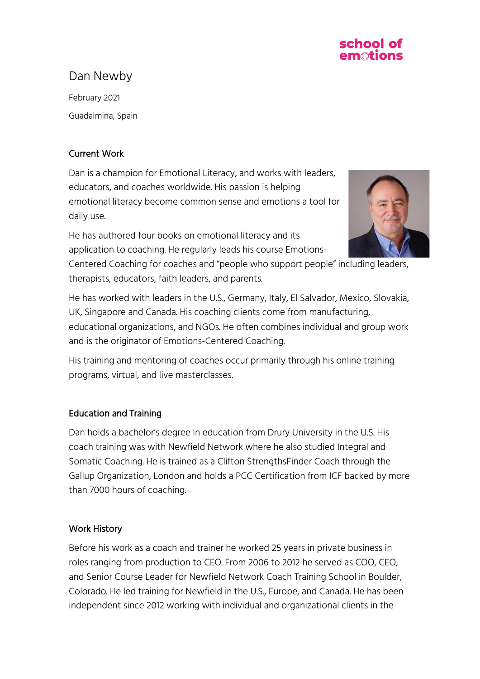

# Dan Newby

February 2021 Guadalmina, Spain

## Current Work

Dan is a champion for Emotional Literacy, and works with leaders, educators, and coaches worldwide. His passion is helping emotional literacy become common sense and emotions a tool for daily use.

He has authored four books on emotional literacy and its application to coaching. He regularly leads his course Emotions-



Centered Coaching for coaches and "people who support people" including leaders, therapists, educators, faith leaders, and parents.

He has worked with leaders in the U.S., Germany, Italy, El Salvador, Mexico, Slovakia, UK, Singapore and Canada. His coaching clients come from manufacturing, educational organizations, and NGOs. He often combines individual and group work and is the originator of Emotions-Centered Coaching.

His training and mentoring of coaches occur primarily through his online training programs, virtual, and live masterclasses.

## Education and Training

Dan holds a bachelor's degree in education from Drury University in the U.S. His coach training was with Newfield Network where he also studied Integral and Somatic Coaching. He is trained as a Clifton StrengthsFinder Coach through the Gallup Organization, London and holds a PCC Certification from ICF backed by more than 7000 hours of coaching.

### Work History

Before his work as a coach and trainer he worked 25 years in private business in roles ranging from production to CEO. From 2006 to 2012 he served as COO, CEO, and Senior Course Leader for Newfield Network Coach Training School in Boulder, Colorado. He led training for Newfield in the U.S., Europe, and Canada. He has been independent since 2012 working with individual and organizational clients in the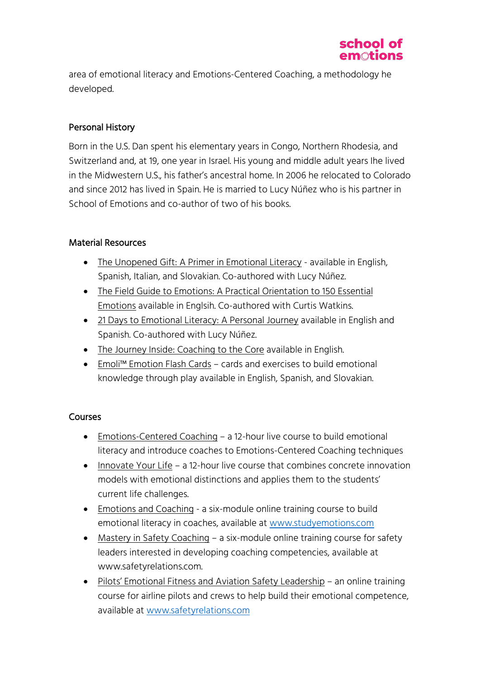

area of emotional literacy and Emotions-Centered Coaching, a methodology he developed.

### Personal History

Born in the U.S. Dan spent his elementary years in Congo, Northern Rhodesia, and Switzerland and, at 19, one year in Israel. His young and middle adult years Ihe lived in the Midwestern U.S., his father's ancestral home. In 2006 he relocated to Colorado and since 2012 has lived in Spain. He is married to Lucy Núñez who is his partner in School of Emotions and co-author of two of his books.

#### Material Resources

- The Unopened Gift: A Primer in Emotional Literacy available in English, Spanish, Italian, and Slovakian. Co-authored with Lucy Núñez.
- The Field Guide to Emotions: A Practical Orientation to 150 Essential Emotions available in Englsih. Co-authored with Curtis Watkins.
- 21 Days to Emotional Literacy: A Personal Journey available in English and Spanish. Co-authored with Lucy Núñez.
- The Journey Inside: Coaching to the Core available in English.
- Emoli™ Emotion Flash Cards cards and exercises to build emotional knowledge through play available in English, Spanish, and Slovakian.

#### **Courses**

- Emotions-Centered Coaching a 12-hour live course to build emotional literacy and introduce coaches to Emotions-Centered Coaching techniques
- Innovate Your Life a 12-hour live course that combines concrete innovation models with emotional distinctions and applies them to the students' current life challenges.
- Emotions and Coaching a six-module online training course to build emotional literacy in coaches, available at www.studyemotions.com
- Mastery in Safety Coaching a six-module online training course for safety leaders interested in developing coaching competencies, available at www.safetyrelations.com.
- Pilots' Emotional Fitness and Aviation Safety Leadership an online training course for airline pilots and crews to help build their emotional competence, available at www.safetyrelations.com